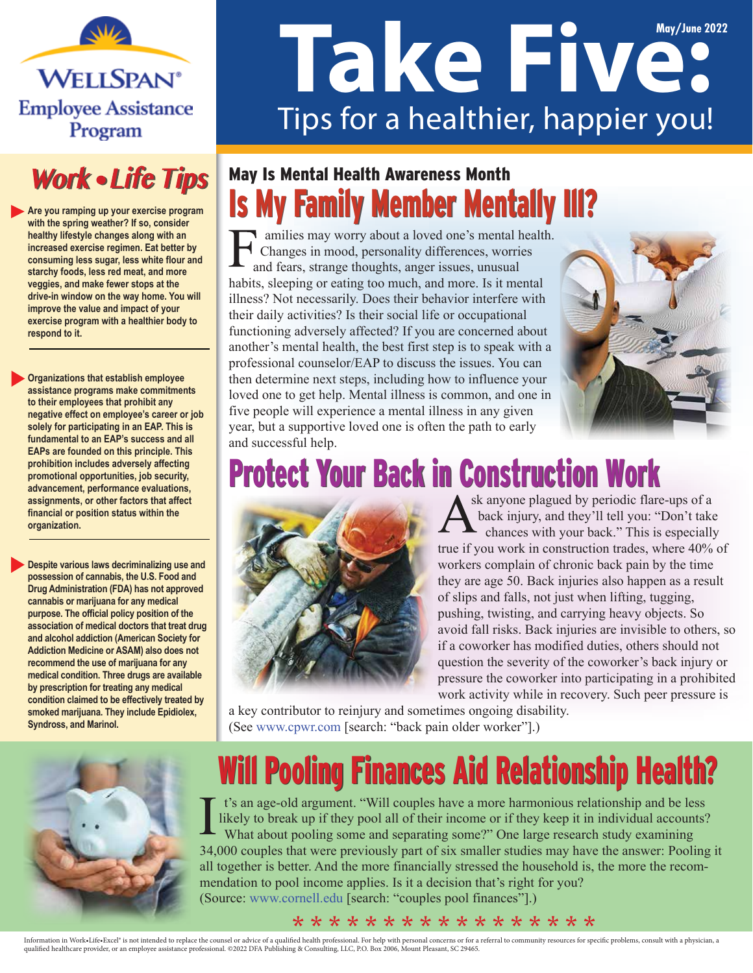**WELLSPAN® Employee Assistance** Program



**Are you ramping up your exercise program with the spring weather? If so, consider healthy lifestyle changes along with an increased exercise regimen. Eat better by consuming less sugar, less white flour and starchy foods, less red meat, and more veggies, and make fewer stops at the drive-in window on the way home. You will improve the value and impact of your exercise program with a healthier body to respond to it.** 

**Organizations that establish employee assistance programs make commitments to their employees that prohibit any negative effect on employee's career or job solely for participating in an EAP. This is fundamental to an EAP's success and all EAPs are founded on this principle. This prohibition includes adversely affecting promotional opportunities, job security, advancement, performance evaluations, assignments, or other factors that affect financial or position status within the organization.** 

**Despite various laws decriminalizing use and possession of cannabis, the U.S. Food and Drug Administration (FDA) has not approved cannabis or marijuana for any medical purpose. The official policy position of the association of medical doctors that treat drug and alcohol addiction (American Society for Addiction Medicine or ASAM) also does not recommend the use of marijuana for any medical condition. Three drugs are available by prescription for treating any medical condition claimed to be effectively treated by smoked marijuana. They include Epidiolex, Syndross, and Marinol.**

# **May/June 2022** Tips for a healthier, happier you!

### **Is My Family Member Mentally III?** May Is Mental Health Awareness Month

amilies may worry about a loved one's mental health. Changes in mood, personality differences, worries and fears, strange thoughts, anger issues, unusual habits, sleeping or eating too much, and more. Is it mental illness? Not necessarily. Does their behavior interfere with their daily activities? Is their social life or occupational functioning adversely affected? If you are concerned about another's mental health, the best first step is to speak with a professional counselor/EAP to discuss the issues. You can then determine next steps, including how to influence your loved one to get help. Mental illness is common, and one in five people will experience a mental illness in any given year, but a supportive loved one is often the path to early and successful help.



# **Protect Your Back in Construction Work**



sk anyone plagued by periodic flare-ups of a back injury, and they'll tell you: "Don't take chances with your back." This is especially true if you work in construction trades, where 40% of workers complain of chronic back pain by the time they are age 50. Back injuries also happen as a result of slips and falls, not just when lifting, tugging, pushing, twisting, and carrying heavy objects. So avoid fall risks. Back injuries are invisible to others, so if a coworker has modified duties, others should not question the severity of the coworker's back injury or pressure the coworker into participating in a prohibited work activity while in recovery. Such peer pressure is

a key contributor to reinjury and sometimes ongoing disability. (See www.cpwr.com [search: "back pain older worker"].)



## Will Pooling Finances Aid Relationship Health?

t's an age-old argument. "Will couples have a more harmonious relationship and be less likely to break up if they pool all of their income or if they keep it in individual accounts? What about pooling some and separating some?" One large research study examining 34,000 couples that were previously part of six smaller studies may have the answer: Pooling it all together is better. And the more financially stressed the household is, the more the recommendation to pool income applies. Is it a decision that's right for you? (Source: www.cornell.edu [search: "couples pool finances"].)

#### \* \* \* \* \* \* \* \* \* \* \* \* \* \* \* \* \*